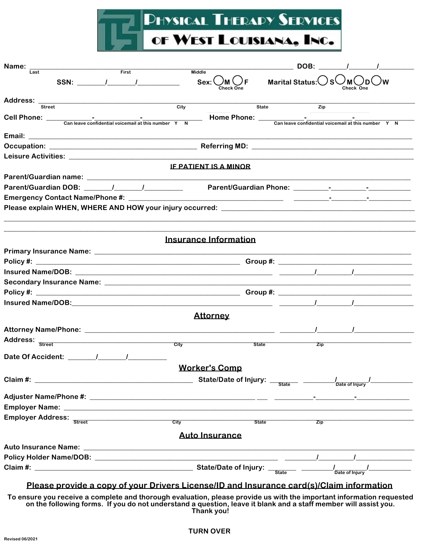

| Name:                                    |                              |                  | DOB:                   | $\sqrt{1}$                                          |
|------------------------------------------|------------------------------|------------------|------------------------|-----------------------------------------------------|
| First<br>Last                            | <b>Middle</b>                |                  |                        |                                                     |
| SSN: $\qquad \qquad$ / $\qquad \qquad$ / | Sex:                         |                  | <b>Marital Status:</b> |                                                     |
|                                          |                              |                  |                        |                                                     |
| <b>Street</b>                            | $\overline{City}$            | State            | Zip                    |                                                     |
|                                          |                              | Home Phone: ____ |                        | Can leave confidential voicemail at this number Y N |
|                                          |                              |                  |                        |                                                     |
|                                          |                              |                  |                        |                                                     |
|                                          |                              |                  |                        |                                                     |
|                                          | <b>IF PATIENT IS A MINOR</b> |                  |                        |                                                     |
|                                          |                              |                  |                        |                                                     |
|                                          |                              |                  |                        |                                                     |
|                                          |                              |                  |                        |                                                     |
|                                          |                              |                  |                        |                                                     |
|                                          |                              |                  |                        |                                                     |
|                                          | Insurance Information        |                  |                        |                                                     |
|                                          |                              |                  |                        |                                                     |
|                                          |                              |                  |                        |                                                     |
|                                          |                              |                  |                        |                                                     |
|                                          |                              |                  |                        |                                                     |
|                                          |                              |                  |                        |                                                     |
|                                          |                              |                  |                        |                                                     |
|                                          | <b>Attorney</b>              |                  |                        |                                                     |
|                                          |                              |                  |                        |                                                     |
|                                          |                              |                  |                        |                                                     |
|                                          | City                         | State            | Zip                    |                                                     |
| Date Of Accident: 1 1                    |                              |                  |                        |                                                     |
|                                          | <b>Worker's Comp</b>         |                  |                        |                                                     |
|                                          |                              |                  |                        |                                                     |
|                                          |                              |                  |                        | /<br>Date of Injury                                 |
|                                          |                              |                  |                        |                                                     |
|                                          |                              |                  |                        |                                                     |
|                                          |                              | City State       | Zip                    |                                                     |
|                                          |                              |                  |                        |                                                     |
|                                          | <b>Auto Insurance</b>        |                  |                        |                                                     |
|                                          |                              |                  |                        |                                                     |
|                                          |                              |                  |                        |                                                     |
|                                          |                              |                  |                        | /<br>Date of Injury                                 |

## Please provide a copy of your Drivers License/ID and Insurance card(s)/Claim information

To ensure you receive a complete and thorough evaluation, please provide us with the important information requested on the following forms. If you do not understand a question, leave it blank and a staff member will assist you<br>Thank you!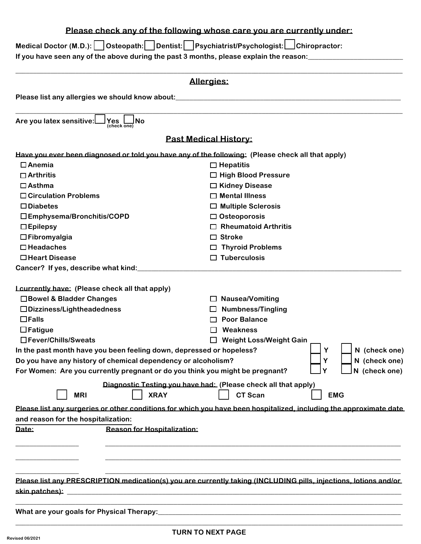## **Please check any of the following whose care you are currently under: Medical Doctor (M.D.): Osteopath: Dentist: Psychiatrist/Psychologist: Chiropractor:** If you have seen any of the above during the past 3 months, please explain the reason: **\_\_\_\_\_\_\_\_\_\_\_\_\_\_\_\_\_\_\_\_\_\_\_\_\_\_\_\_\_\_\_\_\_\_\_\_\_\_\_\_\_\_\_\_\_\_\_\_\_\_\_\_\_\_\_\_\_\_\_\_\_\_\_\_\_\_\_\_\_\_\_\_\_\_\_\_\_\_\_\_\_\_\_\_\_\_\_\_\_\_\_\_\_\_\_\_\_\_\_\_\_\_\_\_\_\_\_\_\_\_ Allergies: Please list any allergies we should know about:\_\_\_\_\_\_\_\_\_\_\_\_\_\_\_\_\_\_\_\_\_\_\_\_\_\_\_\_\_\_\_\_\_\_\_\_\_\_\_\_\_\_\_\_\_\_\_\_\_\_\_\_\_\_\_\_\_\_\_\_\_\_\_\_ \_\_\_\_\_\_\_\_\_\_\_\_\_\_\_\_\_\_\_\_\_\_\_\_\_\_\_\_\_\_\_\_\_\_\_\_\_\_\_\_\_\_\_\_\_\_\_\_\_\_\_\_\_\_\_\_\_\_\_\_\_\_\_\_\_\_\_\_\_\_\_\_\_\_\_\_\_\_\_\_\_\_\_\_\_\_\_\_\_\_\_\_\_\_\_\_\_\_\_\_\_\_\_\_\_\_\_\_\_\_ Are** you latex sensitive: **(check one) Past Medical History: Have you ever been diagnosed or told you have any of the following: (Please check all that apply) Anemia Hepatitis Arthritis High Blood Pressure Asthma Kidney Disease Circulation Problems Mental Illness Diabetes Multiple Sclerosis Emphysema/Bronchitis/COPD Osteoporosis Epilepsy Rheumatoid Arthritis Fibromyalgia Stroke Headaches Thyroid Problems Heart Disease Tuberculosis Cancer? If yes, describe what kind:\_\_\_\_\_\_\_\_\_\_\_\_\_\_\_\_\_\_\_\_\_\_\_\_\_\_\_\_\_\_\_\_\_\_\_\_\_\_\_\_\_\_\_\_\_\_\_\_\_\_\_\_\_\_\_\_\_\_\_\_\_\_\_\_\_\_\_\_\_\_\_\_\_\_\_ I currently have: (Please check all that apply) Bowel & Bladder Changes Nausea/Vomiting Dizziness/Lightheadedness Numbness/Tingling Falls Poor Balance Fatigue Weakness Fever/Chills/Sweats Weight Loss/Weight Gain In the past month have you been feeling down, depressed or hopeless? Y N (check one) Do you have any history of chemical dependency or alcoholism? Y N (check one) For Women: Are you currently pregnant or do you think you might be pregnant? Y N (check one) Diagnostic Testing you have had: (Please check all that apply) MRI XRAY CT Scan EMG** Please list any surgeries or other conditions for which you have been hospitalized, including the approximate date **and reason for the hospitalization: Date: Reason for Hospitalization: \_\_\_\_\_\_\_\_\_\_\_\_\_\_\_\_\_\_ \_\_\_\_\_\_\_\_\_\_\_\_\_\_\_\_\_\_\_\_\_\_\_\_\_\_\_\_\_\_\_\_\_\_\_\_\_\_\_\_\_\_\_\_\_\_\_\_\_\_\_\_\_\_\_\_\_\_\_\_\_\_\_\_\_\_\_\_\_\_\_\_\_\_\_\_\_\_\_\_\_\_\_\_ \_\_\_\_\_\_\_\_\_\_\_\_\_\_\_\_\_\_ \_\_\_\_\_\_\_\_\_\_\_\_\_\_\_\_\_\_\_\_\_\_\_\_\_\_\_\_\_\_\_\_\_\_\_\_\_\_\_\_\_\_\_\_\_\_\_\_\_\_\_\_\_\_\_\_\_\_\_\_\_\_\_\_\_\_\_\_\_\_\_\_\_\_\_\_\_\_\_\_\_\_\_\_ \_\_\_\_\_\_\_\_\_\_\_\_\_\_\_\_\_\_ \_\_\_\_\_\_\_\_\_\_\_\_\_\_\_\_\_\_\_\_\_\_\_\_\_\_\_\_\_\_\_\_\_\_\_\_\_\_\_\_\_\_\_\_\_\_\_\_\_\_\_\_\_\_\_\_\_\_\_\_\_\_\_\_\_\_\_\_\_\_\_\_\_\_\_\_\_\_\_\_\_\_\_\_ Please list any PRESCRIPTION medication(s) you are currently taking (INCLUDING pills, injections, lotions and/or skin patches): \_\_\_\_\_\_\_\_\_\_\_\_\_\_\_\_\_\_\_\_\_\_\_\_\_\_\_\_\_\_\_\_\_\_\_\_\_\_\_\_\_\_\_\_\_\_\_\_\_\_\_\_\_\_\_\_\_\_\_\_\_\_\_\_\_\_\_\_\_\_\_\_\_\_\_\_\_\_\_\_\_\_\_\_\_\_\_\_\_\_\_\_\_\_\_ \_\_\_\_\_\_\_\_\_\_\_\_\_\_\_\_\_\_\_\_\_\_\_\_\_\_\_\_\_\_\_\_\_\_\_\_\_\_\_\_\_\_\_\_\_\_\_\_\_\_\_\_\_\_\_\_\_\_\_\_\_\_\_\_\_\_\_\_\_\_\_\_\_\_\_\_\_\_\_\_\_\_\_\_\_\_\_\_\_\_\_\_\_\_\_\_\_\_\_\_\_\_\_\_\_\_\_\_\_\_ What are your goals for Physical Therapy:**

**\_\_\_\_\_\_\_\_\_\_\_\_\_\_\_\_\_\_\_\_\_\_\_\_\_\_\_\_\_\_\_\_\_\_\_\_\_\_\_\_\_\_\_\_\_\_\_\_\_\_\_\_\_\_\_\_\_\_\_\_\_\_\_\_\_\_\_\_\_\_\_\_\_\_\_\_\_\_\_\_\_\_\_\_\_\_\_\_\_\_\_\_\_\_\_\_\_\_\_\_\_\_\_\_\_\_\_\_\_\_**